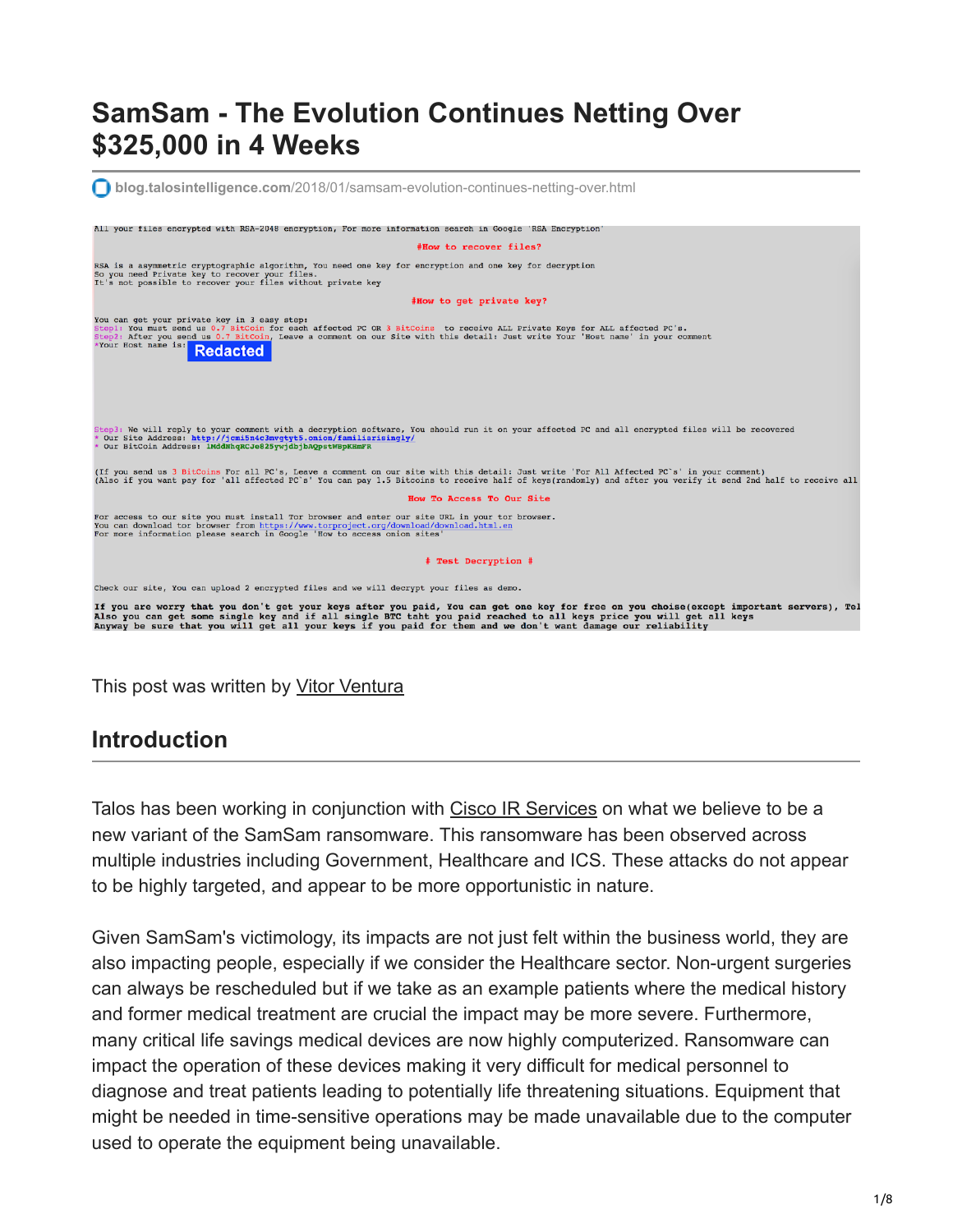# **SamSam - The Evolution Continues Netting Over \$325,000 in 4 Weeks**



#### This post was written by [Vitor Ventura](https://twitter.com/_vventura)

#### **Introduction**

Talos has been working in conjunction with [Cisco IR Services](https://www.cisco.com/c/en/us/products/security/sas-incident-response.html) on what we believe to be a new variant of the SamSam ransomware. This ransomware has been observed across multiple industries including Government, Healthcare and ICS. These attacks do not appear to be highly targeted, and appear to be more opportunistic in nature.

Given SamSam's victimology, its impacts are not just felt within the business world, they are also impacting people, especially if we consider the Healthcare sector. Non-urgent surgeries can always be rescheduled but if we take as an example patients where the medical history and former medical treatment are crucial the impact may be more severe. Furthermore, many critical life savings medical devices are now highly computerized. Ransomware can impact the operation of these devices making it very difficult for medical personnel to diagnose and treat patients leading to potentially life threatening situations. Equipment that might be needed in time-sensitive operations may be made unavailable due to the computer used to operate the equipment being unavailable.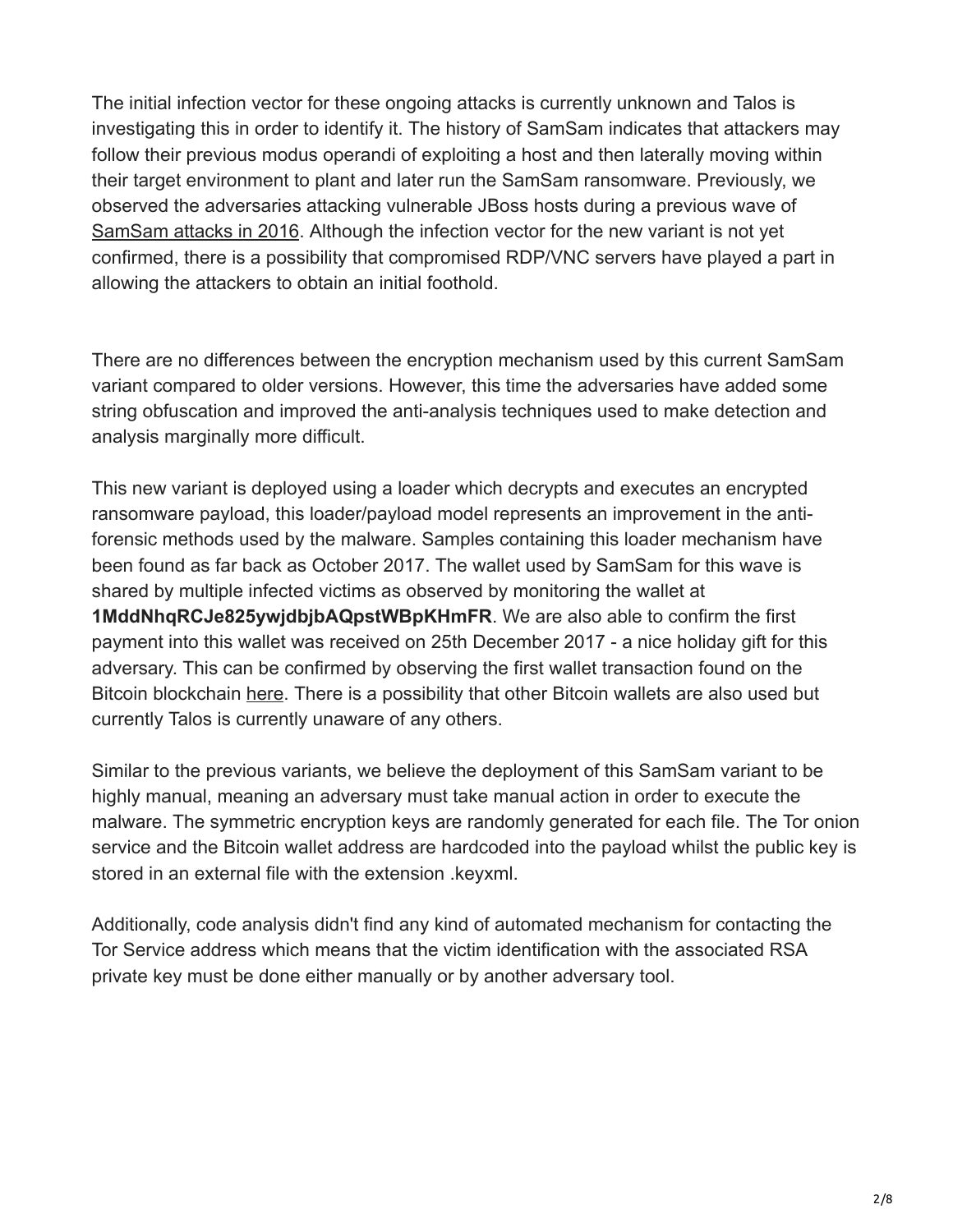The initial infection vector for these ongoing attacks is currently unknown and Talos is investigating this in order to identify it. The history of SamSam indicates that attackers may follow their previous modus operandi of exploiting a host and then laterally moving within their target environment to plant and later run the SamSam ransomware. Previously, we observed the adversaries attacking vulnerable JBoss hosts during a previous wave of [SamSam attacks in 2016.](http://blog.talosintelligence.com/2016/03/samsam-ransomware.html)) Although the infection vector for the new variant is not yet confirmed, there is a possibility that compromised RDP/VNC servers have played a part in allowing the attackers to obtain an initial foothold.

There are no differences between the encryption mechanism used by this current SamSam variant compared to older versions. However, this time the adversaries have added some string obfuscation and improved the anti-analysis techniques used to make detection and analysis marginally more difficult.

This new variant is deployed using a loader which decrypts and executes an encrypted ransomware payload, this loader/payload model represents an improvement in the antiforensic methods used by the malware. Samples containing this loader mechanism have been found as far back as October 2017. The wallet used by SamSam for this wave is shared by multiple infected victims as observed by monitoring the wallet at **1MddNhqRCJe825ywjdbjbAQpstWBpKHmFR**. We are also able to confirm the first payment into this wallet was received on 25th December 2017 - a nice holiday gift for this adversary. This can be confirmed by observing the first wallet transaction found on the Bitcoin blockchain [here](https://blockchain.info/tx/6277cc9899d241f4d4b4eaca0285086d1ad028839ee0368800f45786e472230d). There is a possibility that other Bitcoin wallets are also used but currently Talos is currently unaware of any others.

Similar to the previous variants, we believe the deployment of this SamSam variant to be highly manual, meaning an adversary must take manual action in order to execute the malware. The symmetric encryption keys are randomly generated for each file. The Tor onion service and the Bitcoin wallet address are hardcoded into the payload whilst the public key is stored in an external file with the extension .keyxml.

Additionally, code analysis didn't find any kind of automated mechanism for contacting the Tor Service address which means that the victim identification with the associated RSA private key must be done either manually or by another adversary tool.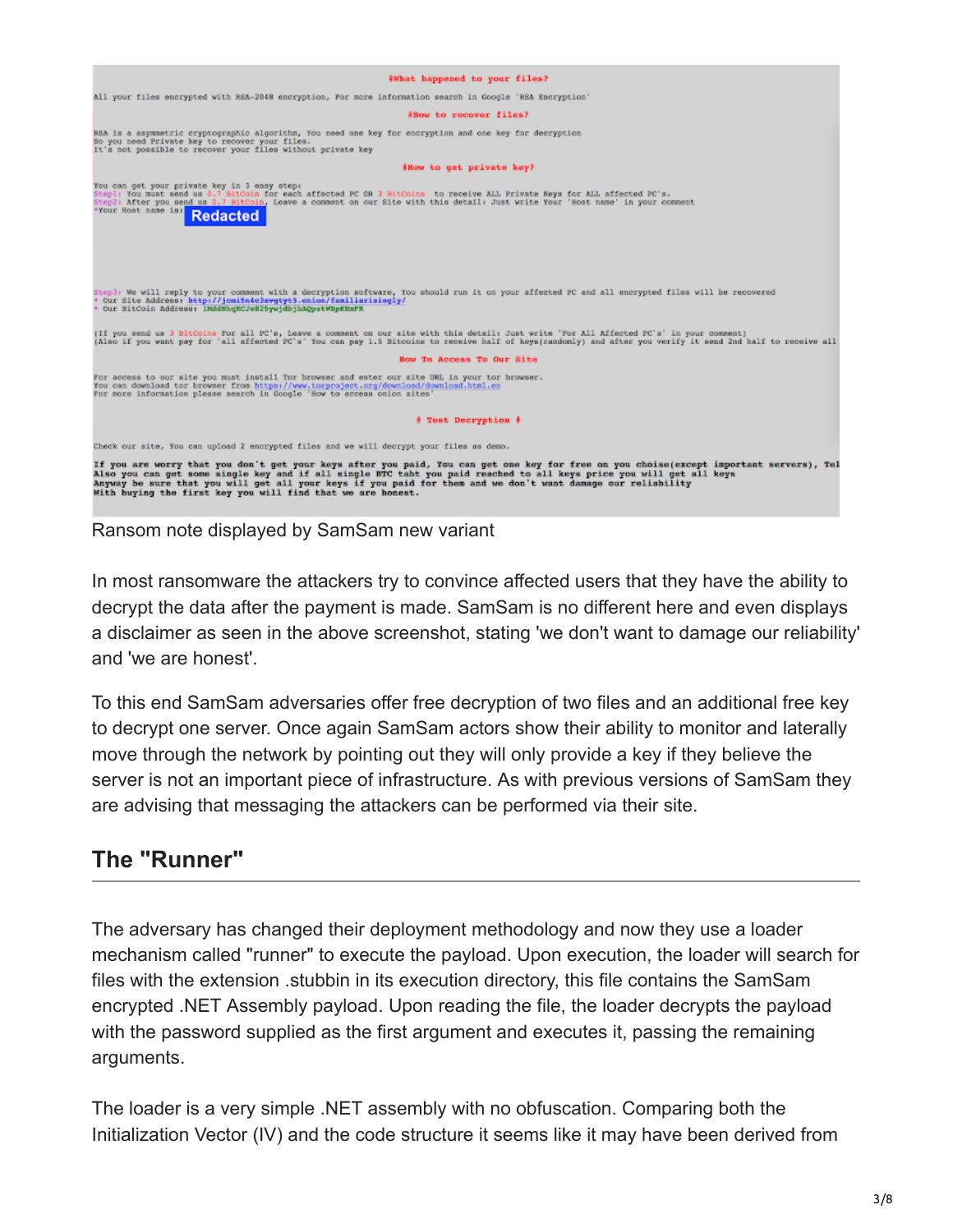

Ransom note displayed by SamSam new variant

In most ransomware the attackers try to convince affected users that they have the ability to decrypt the data after the payment is made. SamSam is no different here and even displays a disclaimer as seen in the above screenshot, stating 'we don't want to damage our reliability' and 'we are honest'.

To this end SamSam adversaries offer free decryption of two files and an additional free key to decrypt one server. Once again SamSam actors show their ability to monitor and laterally move through the network by pointing out they will only provide a key if they believe the server is not an important piece of infrastructure. As with previous versions of SamSam they are advising that messaging the attackers can be performed via their site.

### **The "Runner"**

The adversary has changed their deployment methodology and now they use a loader mechanism called "runner" to execute the payload. Upon execution, the loader will search for files with the extension .stubbin in its execution directory, this file contains the SamSam encrypted .NET Assembly payload. Upon reading the file, the loader decrypts the payload with the password supplied as the first argument and executes it, passing the remaining arguments.

The loader is a very simple .NET assembly with no obfuscation. Comparing both the Initialization Vector (IV) and the code structure it seems like it may have been derived from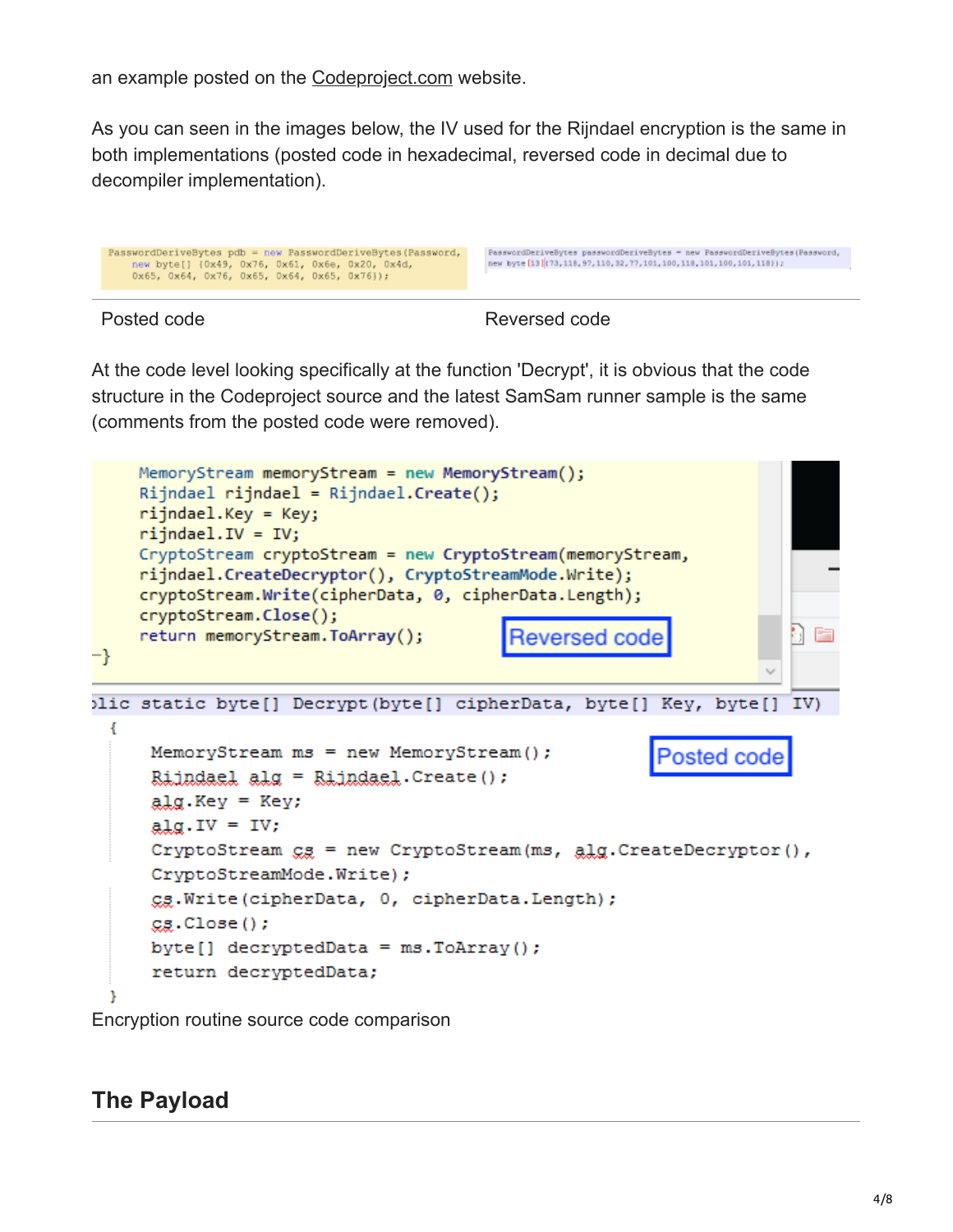an example posted on the [Codeproject.com](https://www.codeproject.com/kb/security/dotnetcrypto.aspx?msg%3D1790665) website.

As you can seen in the images below, the IV used for the Rijndael encryption is the same in both implementations (posted code in hexadecimal, reversed code in decimal due to decompiler implementation).

```
PasswordDeriveBytes pdb = new PasswordDeriveBytes(Password,<br>new byte[] {0x49, 0x76, 0x61, 0x6e, 0x20, 0x4d,<br>0x65, 0x64, 0x76, 0x65, 0x64, 0x65, 0x76}};
```
PasswordDeriveBytes passwordDeriveBytes = new PasswordDeriveBytes (Развwоrd, new byte [13] (73, 118, 97, 110, 32, 77, 101, 100, 118, 101, 100, 101, 118));

Posted code **Reversed code** Reversed code

At the code level looking specifically at the function 'Decrypt', it is obvious that the code structure in the Codeproject source and the latest SamSam runner sample is the same (comments from the posted code were removed).



Encryption routine source code comparison

#### **The Payload**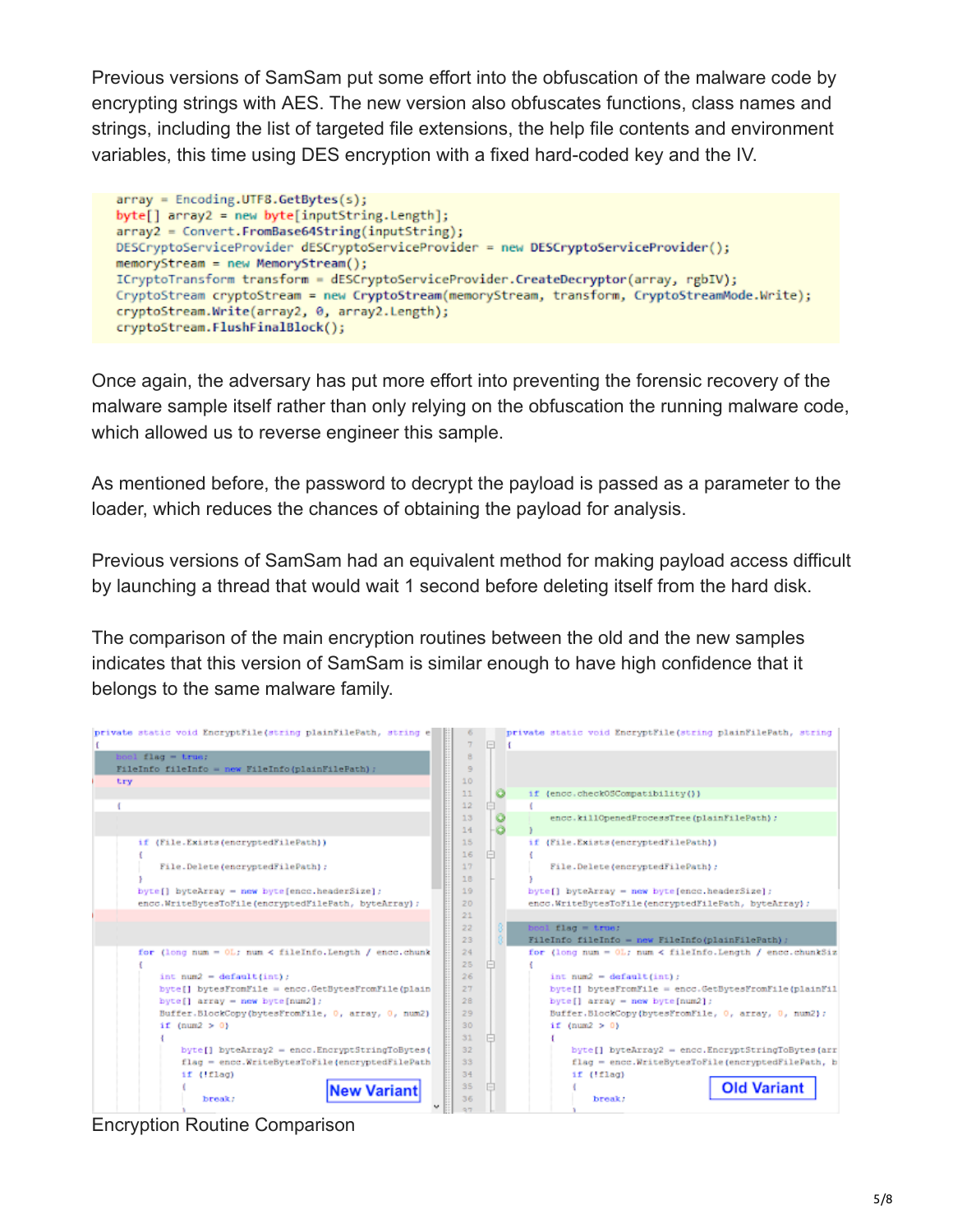Previous versions of SamSam put some effort into the obfuscation of the malware code by encrypting strings with AES. The new version also obfuscates functions, class names and strings, including the list of targeted file extensions, the help file contents and environment variables, this time using DES encryption with a fixed hard-coded key and the IV.

```
array = Encoding.UTF8.GetBytes(s);
  byte[] array2 = new byte[inputString.length];array2 = Convert.FromBase64String(inputString);
  DESCryptoServiceProvider dESCryptoServiceProvider = new DESCryptoServiceProvider();
  memoryStream = new MemoryStream();
  ICryptoTransform transform = dESCryptoServiceProvider.CreateDecryptor(array, rgbIV);
  CryptoStream cryptoStream = new CryptoStream(memoryStream, transform, CryptoStreamMode.Write);
  cryptoStream.Write(array2, 0, array2.Length);
  cryptoStream.FlushFinalBlock();
```
Once again, the adversary has put more effort into preventing the forensic recovery of the malware sample itself rather than only relying on the obfuscation the running malware code, which allowed us to reverse engineer this sample.

As mentioned before, the password to decrypt the payload is passed as a parameter to the loader, which reduces the chances of obtaining the payload for analysis.

Previous versions of SamSam had an equivalent method for making payload access difficult by launching a thread that would wait 1 second before deleting itself from the hard disk.

The comparison of the main encryption routines between the old and the new samples indicates that this version of SamSam is similar enough to have high confidence that it belongs to the same malware family.

| private static void EncryptFile (string plainFilePath, string e) | private static void EncryptFile (string plainFilePath, string      |
|------------------------------------------------------------------|--------------------------------------------------------------------|
|                                                                  | $\Box$                                                             |
| $bool$ $flag = true$ ;                                           | 8                                                                  |
| FileInfo fileInfo - new FileInfo (plainFilePath) ;               | 9                                                                  |
| try                                                              | 10                                                                 |
|                                                                  | 11<br>if (encc.checkOSCompatibility())                             |
|                                                                  | 12                                                                 |
|                                                                  | 13<br>encc.killOpenedProcessTree(plainFilePath);                   |
|                                                                  | 14                                                                 |
| if (File.Exists(encryptedFilePath))                              | 15<br>if (File.Exists(encryptedFilePath))                          |
|                                                                  | 16                                                                 |
| File.Delete(encryptedFilePath);                                  | 17<br>File.Delete(encryptedFilePath);                              |
|                                                                  | 18                                                                 |
| $byte[]$ byteArray = new byte[encc.headerSize];                  | 19<br>$byte[]$ byteArray = new byte[encc.headerSize];              |
| encc.WriteBytesToFile(encryptedFilePath, byteArray);             | 20<br>encc.WriteBytesToFile(encryptedFilePath, byteArray);         |
|                                                                  | 21                                                                 |
|                                                                  | $bool$ $flag = true$ .<br>22                                       |
|                                                                  | 23<br>FileInfo fileInfo = new FileInfo(plainFilePath) ;            |
| for (long num = $0L$ ; num < fileInfo.Length / encc.chunk        | 24<br>for (long num = $0L$ ; num < fileInfo.Length / encc.chunkSiz |
|                                                                  | 25                                                                 |
| int $num2 = default(int)$ :                                      | 26<br>int num2 = $default(int)$ :                                  |
| byte[] bytesFromFile = encc.GetBytesFromFile(plain               | 27<br>byte[] bytesFromFile = encc.GetBytesFromFile(plainFil        |
| byte $[]$ array = new byte $[num2]$ ;                            | 28<br>$byte[] array = new byte(num2];$                             |
| Buffer.BlockCopy(bytesFromFile, 0, array, 0, num2)               | 29<br>Buffer.BlockCopy(bytesFromFile, 0, array, 0, num2);          |
| if $(num2 > 0)$                                                  | 30<br>if $(num2 > 0)$                                              |
|                                                                  | 31                                                                 |
| byte[] byteArray2 = encc.EncryptStringToBytes(                   | 32<br>byte[] byteArray2 = encc.EncryptStringToBytes(arr            |
| flag = encc.WriteBytesToFile{encryptedFilePath                   | 33<br>flag = encc.WriteBytesToFile(encryptedFilePath, b            |
| if (!flag)                                                       | 34<br>if (!flag)                                                   |
| <b>New Variant</b>                                               | <b>Old Variant</b><br>35                                           |
| break:                                                           | 36<br>break:                                                       |
|                                                                  | Q(T)                                                               |

Encryption Routine Comparison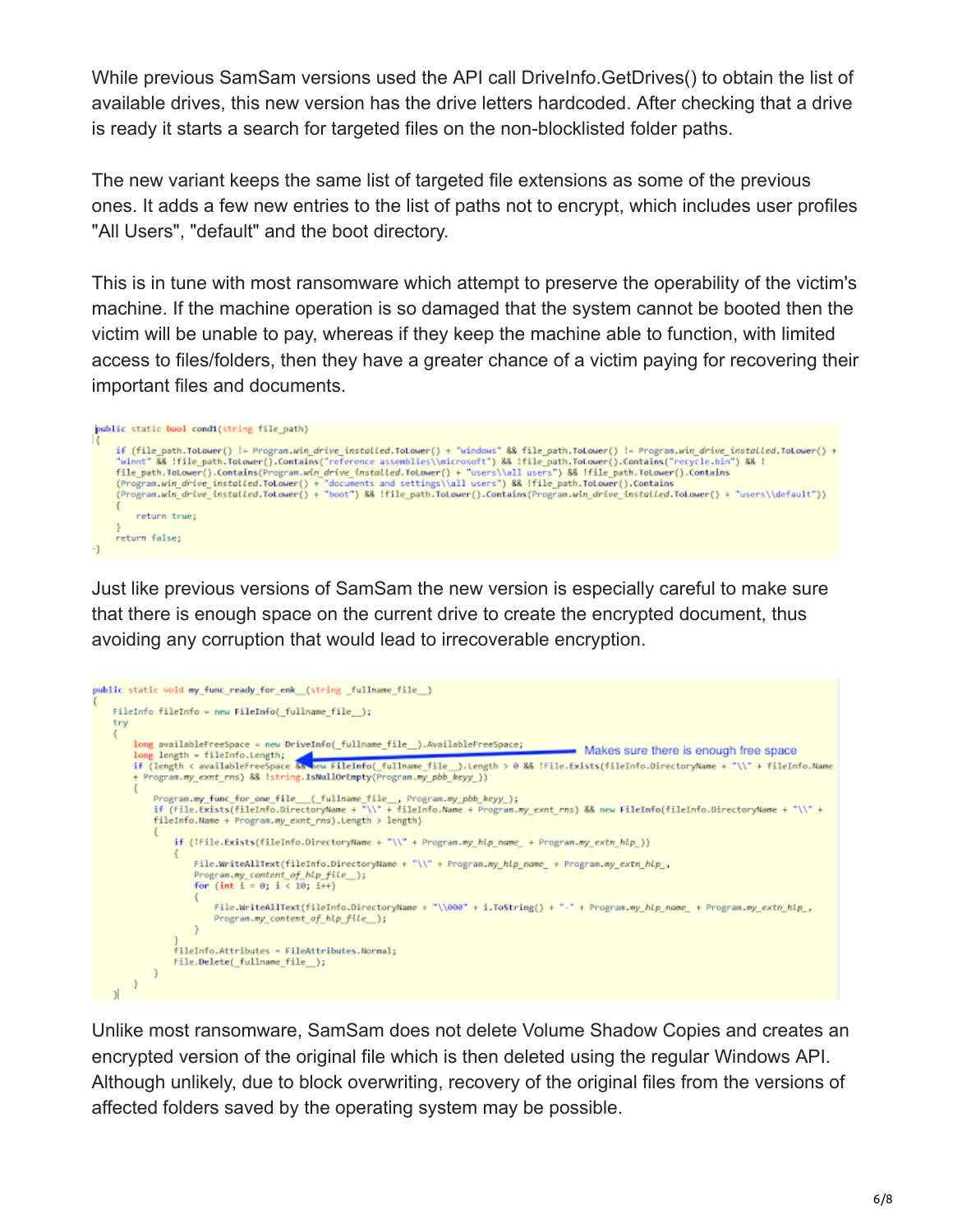While previous SamSam versions used the API call DriveInfo.GetDrives() to obtain the list of available drives, this new version has the drive letters hardcoded. After checking that a drive is ready it starts a search for targeted files on the non-blocklisted folder paths.

The new variant keeps the same list of targeted file extensions as some of the previous ones. It adds a few new entries to the list of paths not to encrypt, which includes user profiles "All Users", "default" and the boot directory.

This is in tune with most ransomware which attempt to preserve the operability of the victim's machine. If the machine operation is so damaged that the system cannot be booted then the victim will be unable to pay, whereas if they keep the machine able to function, with limited access to files/folders, then they have a greater chance of a victim paying for recovering their important files and documents.

```
public static bool condi(string file_path)
      if (file_path.ToLower() != Program.win_drive_installed.ToLower() + "windows" && file_path.ToLower() != Program.win_drive_installed.ToLower() + "windows" && file_path.ToLower().Contains("reference assemblies\\microsoft") &&
           return true;
      return false;
-}
```
Just like previous versions of SamSam the new version is especially careful to make sure that there is enough space on the current drive to create the encrypted document, thus avoiding any corruption that would lead to irrecoverable encryption.

```
public static void my_func_ready_for_enk (string _fullname_file _)
    FileInfo fileInfo = new FileInfo(_fullname_file_);
    try
     ŧ
         long availableFreeSpace = new DriveInfo(_fullname_file__).AvailableFreeSpace;
                                                                                                            - Makes sure there is enough free space
         long length - fileInfo.Length;
         ing iength = fileinfo.Length;<br>if (length < availableFreeSpace &<mark>& hew FileInfo(_fullname_file__</mark>).Length > 0 && !File.Exists(fileInfo.DirectoryName + "\\" + fileInfo.Name
         + Program.my_exnt_rns) && Istring.IsNullOrEmpty(Program.my_pbb_keyy_))
             Program.my_func_for_one_file__(_fullname_file__, Program.my_pbb_keyy_);<br>if (file.Exists(fileInfo.DirectoryName + "\\" + fileInfo.Name + Program.my_exnt_rns) && new FileInfo(fileInfo.DirectoryName + "\\" +
              fileInfo.Name + Program.my_exnt_rns).Length > length)
                  if (!File.Exists(fileInfo.DirectoryName + "\\" + Program.my_hlp_name_ + Program.my_extn_hlp_))
                       File.WriteAllText(fileInfo.DirectoryName + "\\" + Program.my_hlp_name_ + Program.my_extn_hlp_,
                      Program.my_content_of_hlp_file_);<br>for (int i = 0; i < 10; i++)
                           File.WriteAllText(fileInfo.DirectoryName + "\\000" + i.ToString() + "-" + Program.my_hlp_name_ + Program.my_extn_hlp_,
                           Program.my_content_of_hlp_file__);
                       ł
                  fileInfo.Attributes = FileAttributes.Normal;
                  File.Delete(_fullname_file__);
             \mathcal Y1
    \mathcal{H}
```
Unlike most ransomware, SamSam does not delete Volume Shadow Copies and creates an encrypted version of the original file which is then deleted using the regular Windows API. Although unlikely, due to block overwriting, recovery of the original files from the versions of affected folders saved by the operating system may be possible.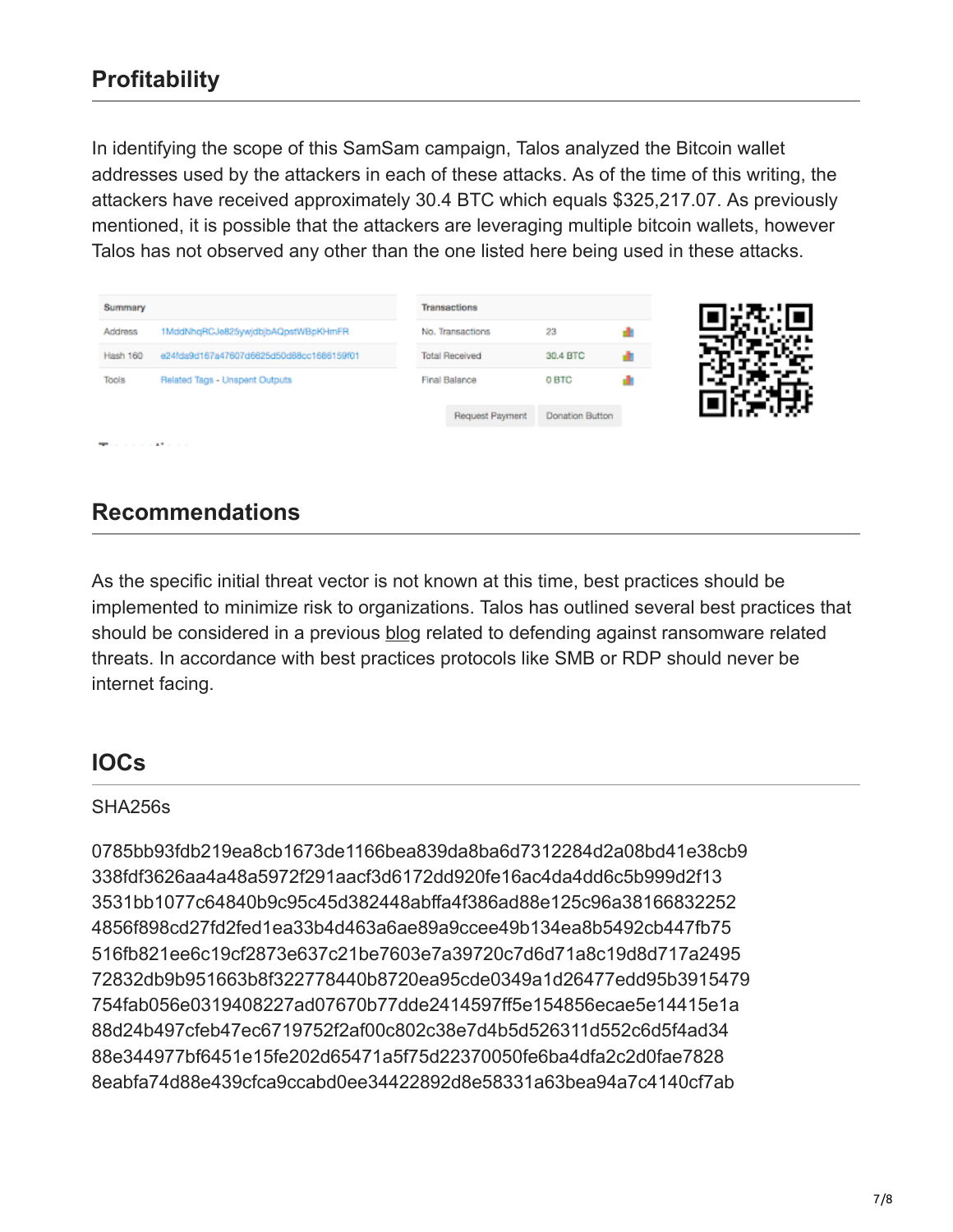# **Profitability**

In identifying the scope of this SamSam campaign, Talos analyzed the Bitcoin wallet addresses used by the attackers in each of these attacks. As of the time of this writing, the attackers have received approximately 30.4 BTC which equals \$325,217.07. As previously mentioned, it is possible that the attackers are leveraging multiple bitcoin wallets, however Talos has not observed any other than the one listed here being used in these attacks.

| 1MddNhqRCJe825ywjdbjbAQpstWBpKHmFR<br>No. Transactions<br>Address<br>23<br>e24fda9d167a47607d6625d50d88cc1686159f01<br>30.4 BTC<br><b>Total Received</b><br>Hash 160<br>0 BTC<br><b>Tools</b><br>Related Tags - Unspent Outputs<br>Final Balance<br><b>Donation Button</b><br>Request Payment | Summary |  | Transactions |  |  |
|-----------------------------------------------------------------------------------------------------------------------------------------------------------------------------------------------------------------------------------------------------------------------------------------------|---------|--|--------------|--|--|
|                                                                                                                                                                                                                                                                                               |         |  |              |  |  |
|                                                                                                                                                                                                                                                                                               |         |  |              |  |  |
|                                                                                                                                                                                                                                                                                               |         |  |              |  |  |
|                                                                                                                                                                                                                                                                                               |         |  |              |  |  |

#### **Recommendations**

As the specific initial threat vector is not known at this time, best practices should be implemented to minimize risk to organizations. Talos has outlined several best practices that should be considered in a previous [blog](http://blog.talosintelligence.com/2017/08/worm-defense.html) related to defending against ransomware related threats. In accordance with best practices protocols like SMB or RDP should never be internet facing.

### **IOCs**

#### SHA256s

0785bb93fdb219ea8cb1673de1166bea839da8ba6d7312284d2a08bd41e38cb9 338fdf3626aa4a48a5972f291aacf3d6172dd920fe16ac4da4dd6c5b999d2f13 3531bb1077c64840b9c95c45d382448abffa4f386ad88e125c96a38166832252 4856f898cd27fd2fed1ea33b4d463a6ae89a9ccee49b134ea8b5492cb447fb75 516fb821ee6c19cf2873e637c21be7603e7a39720c7d6d71a8c19d8d717a2495 72832db9b951663b8f322778440b8720ea95cde0349a1d26477edd95b3915479 754fab056e0319408227ad07670b77dde2414597ff5e154856ecae5e14415e1a 88d24b497cfeb47ec6719752f2af00c802c38e7d4b5d526311d552c6d5f4ad34 88e344977bf6451e15fe202d65471a5f75d22370050fe6ba4dfa2c2d0fae7828 8eabfa74d88e439cfca9ccabd0ee34422892d8e58331a63bea94a7c4140cf7ab